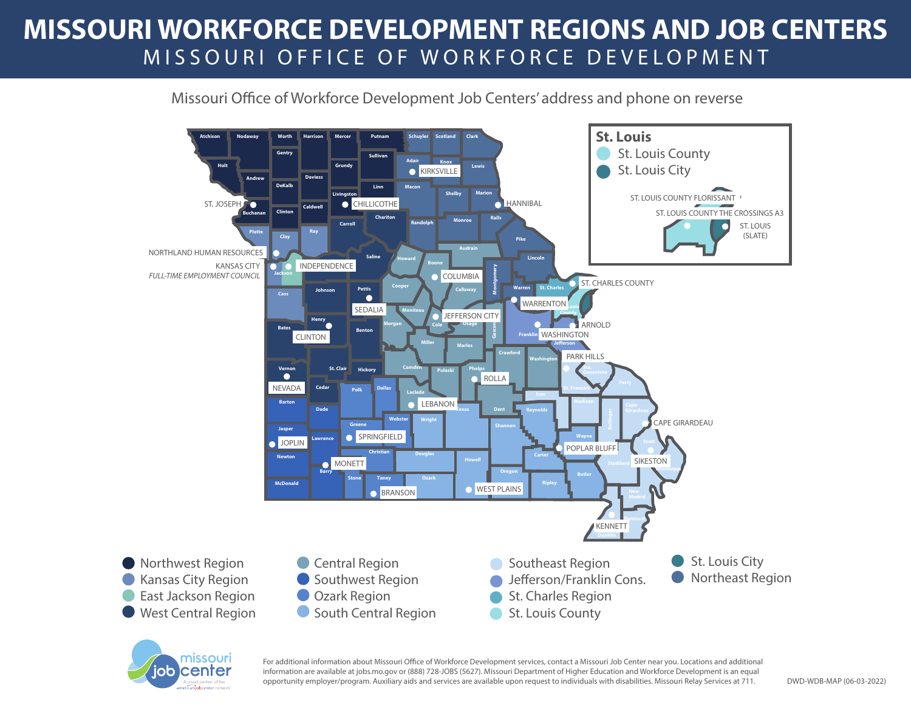## **MISSOURI WORKFORCE DEVELOPMENT REGIONS AND JOB CENTERS** MISSOURI OFFICE OF WORKFORCE DEVELOPMENT

## Missouri Office of Workforce Development Job Centers' address and phone on reverse





For additional information about Missouri Office of Workforce Development services, contact a Missouri Job Center near you. Locations and additional information are available at jobs.mo.gov or (888) 728-JOBS (5627). Missouri Department of Higher Education and Workforce Development is an equal opportunity employer/program. Auxiliary aids and services are available upon request to individuals with disabilities. Missouri Relay Services at 711.